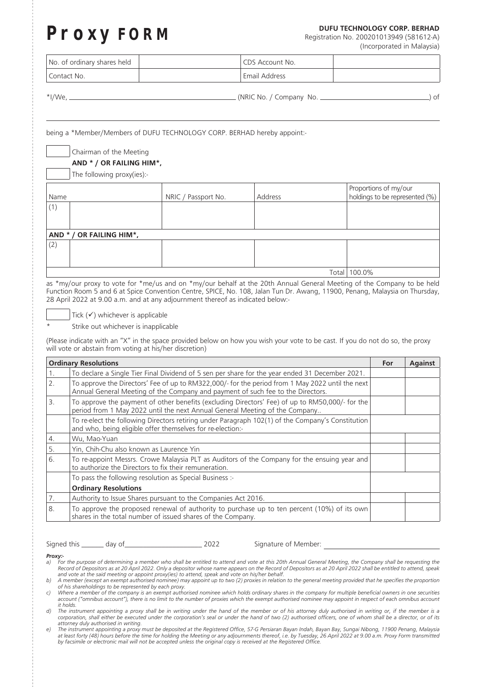## **Proxy FORM DUFU TECHNOLOGY CORP. BERHAD DUFU TECHNOLOGY CORP. BERHAD Registration No. 200201013949 (581612-A)**

Registration No. 200201013949 (581612-A) (Incorporated in Malaysia)

| No. of ordinary shares held | CDS Account No. |  |
|-----------------------------|-----------------|--|
| I Contact No.               | Email Address   |  |

| $*1/\lambda/a$ |  |  |
|----------------|--|--|

(NRIC No. / Company No. <u>2000)</u> of

being a \*Member/Members of DUFU TECHNOLOGY CORP. BERHAD hereby appoint:-

Chairman of the Meeting

## **AND \* / OR FAILING HIM\*,**

The following proxy(ies):-

|                          |                     |         | Proportions of my/our          |  |  |  |
|--------------------------|---------------------|---------|--------------------------------|--|--|--|
| Name                     | NRIC / Passport No. | Address | holdings to be represented (%) |  |  |  |
| (1)                      |                     |         |                                |  |  |  |
|                          |                     |         |                                |  |  |  |
|                          |                     |         |                                |  |  |  |
| AND * / OR FAILING HIM*, |                     |         |                                |  |  |  |
| (2)                      |                     |         |                                |  |  |  |
|                          |                     |         |                                |  |  |  |
|                          |                     |         |                                |  |  |  |
| Total                    |                     |         | 100.0%                         |  |  |  |

as \*my/our proxy to vote for \*me/us and on \*my/our behalf at the 20th Annual General Meeting of the Company to be held Function Room 5 and 6 at Spice Convention Centre, SPICE, No. 108, Jalan Tun Dr. Awang, 11900, Penang, Malaysia on Thursday, 28 April 2022 at 9.00 a.m. and at any adjournment thereof as indicated below:-

Tick  $(\checkmark)$  whichever is applicable

Strike out whichever is inapplicable

(Please indicate with an "X" in the space provided below on how you wish your vote to be cast. If you do not do so, the proxy will vote or abstain from voting at his/her discretion)

| <b>Ordinary Resolutions</b> |                                                                                                                                                                                     |  | <b>Against</b> |
|-----------------------------|-------------------------------------------------------------------------------------------------------------------------------------------------------------------------------------|--|----------------|
| 1.                          | To declare a Single Tier Final Dividend of 5 sen per share for the year ended 31 December 2021.                                                                                     |  |                |
| 2.                          | To approve the Directors' Fee of up to RM322,000/- for the period from 1 May 2022 until the next<br>Annual General Meeting of the Company and payment of such fee to the Directors. |  |                |
| 3.                          | To approve the payment of other benefits (excluding Directors' Fee) of up to RM50,000/- for the<br>period from 1 May 2022 until the next Annual General Meeting of the Company      |  |                |
|                             | To re-elect the following Directors retiring under Paragraph 102(1) of the Company's Constitution<br>and who, being eligible offer themselves for re-election:-                     |  |                |
| 4.                          | Wu, Mao-Yuan                                                                                                                                                                        |  |                |
| 5.                          | Yin, Chih-Chu also known as Laurence Yin                                                                                                                                            |  |                |
| 6.                          | To re-appoint Messrs. Crowe Malaysia PLT as Auditors of the Company for the ensuing year and<br>to authorize the Directors to fix their remuneration.                               |  |                |
|                             | To pass the following resolution as Special Business :-                                                                                                                             |  |                |
|                             | <b>Ordinary Resolutions</b>                                                                                                                                                         |  |                |
| 7.                          | Authority to Issue Shares pursuant to the Companies Act 2016.                                                                                                                       |  |                |
| 8.                          | To approve the proposed renewal of authority to purchase up to ten percent (10%) of its own<br>shares in the total number of issued shares of the Company.                          |  |                |

Signed this \_\_\_\_\_\_ day of \_\_\_\_\_\_\_\_\_\_\_\_\_\_\_\_\_\_\_\_\_\_\_\_\_ 2022 Signature of Member:

*Proxy:-*

a) For the purpose of determining a member who shall be entitled to attend and vote at this 20th Annual General Meeting, the Company shall be requesting the<br>Record of Depositors as at 20 April 2022 shall be entitled to att *and vote at the said meeting or appoint proxy(ies) to attend, speak and vote on his/her behalf.*

*b) A member (except an exempt authorised nominee) may appoint up to two (2) proxies in relation to the general meeting provided that he specifies the proportion of his shareholdings to be represented by each proxy.*

*c) Where a member of the company is an exempt authorised nominee which holds ordinary shares in the company for multiple beneficial owners in one securities*  account ("omnibus account"), there is no limit to the number of proxies which the exempt authorised nominee may appoint in respect of each omnibus account *it holds.*

*d) The instrument appointing a proxy shall be in writing under the hand of the member or of his attorney duly authorised in writing or, if the member is a corporation, shall either be executed under the corporation's seal or under the hand of two (2) authorised officers, one of whom shall be a director, or of its attorney duly authorised in writing.*

*e) The instrument appointing a proxy must be deposited at the Registered Office, 57-G Persiaran Bayan Indah, Bayan Bay, Sungai Nibong, 11900 Penang, Malaysia*  at least forty (48) hours before the time for holding the Meeting or any adjournments thereof, i.e. by Tuesday, 26 April 2022 at 9.00 a.m. Proxy Form transmitted<br>by facsimile or electronic mail will not be accepted unless